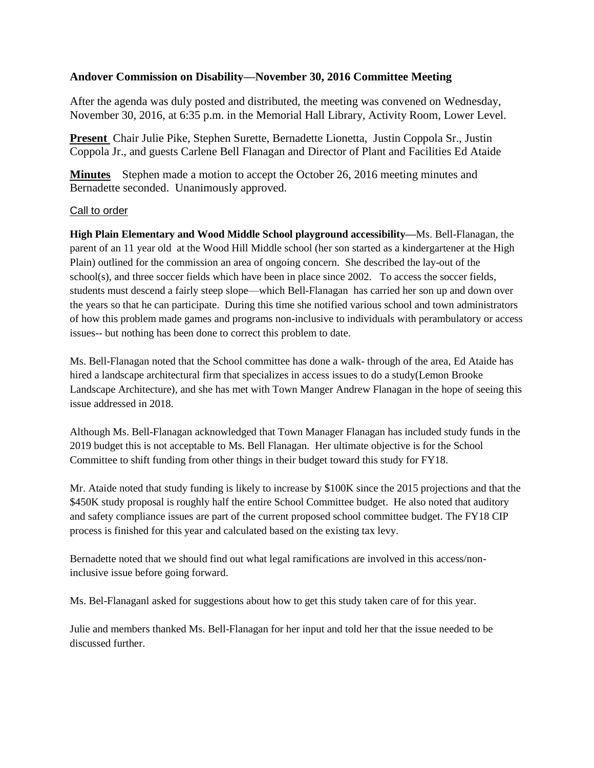# **Andover Commission on Disability—November 30, 2016 Committee Meeting**

After the agenda was duly posted and distributed, the meeting was convened on Wednesday, November 30, 2016, at 6:35 p.m. in the Memorial Hall Library, Activity Room, Lower Level.

**Present** Chair Julie Pike, Stephen Surette, Bernadette Lionetta, Justin Coppola Sr., Justin Coppola Jr., and guests Carlene Bell Flanagan and Director of Plant and Facilities Ed Ataide

**Minutes** Stephen made a motion to accept the October 26, 2016 meeting minutes and Bernadette seconded. Unanimously approved.

# Call to order

**High Plain Elementary and Wood Middle School playground accessibility—**Ms. Bell-Flanagan, the parent of an 11 year old at the Wood Hill Middle school (her son started as a kindergartener at the High Plain) outlined for the commission an area of ongoing concern. She described the lay-out of the school(s), and three soccer fields which have been in place since 2002. To access the soccer fields, students must descend a fairly steep slope—which Bell-Flanagan has carried her son up and down over the years so that he can participate. During this time she notified various school and town administrators of how this problem made games and programs non-inclusive to individuals with perambulatory or access issues-- but nothing has been done to correct this problem to date.

Ms. Bell-Flanagan noted that the School committee has done a walk- through of the area, Ed Ataide has hired a landscape architectural firm that specializes in access issues to do a study(Lemon Brooke Landscape Architecture), and she has met with Town Manger Andrew Flanagan in the hope of seeing this issue addressed in 2018.

Although Ms. Bell-Flanagan acknowledged that Town Manager Flanagan has included study funds in the 2019 budget this is not acceptable to Ms. Bell Flanagan. Her ultimate objective is for the School Committee to shift funding from other things in their budget toward this study for FY18.

Mr. Ataide noted that study funding is likely to increase by \$100K since the 2015 projections and that the \$450K study proposal is roughly half the entire School Committee budget. He also noted that auditory and safety compliance issues are part of the current proposed school committee budget. The FY18 CIP process is finished for this year and calculated based on the existing tax levy.

Bernadette noted that we should find out what legal ramifications are involved in this access/noninclusive issue before going forward.

Ms. Bel-Flanaganl asked for suggestions about how to get this study taken care of for this year.

Julie and members thanked Ms. Bell-Flanagan for her input and told her that the issue needed to be discussed further.